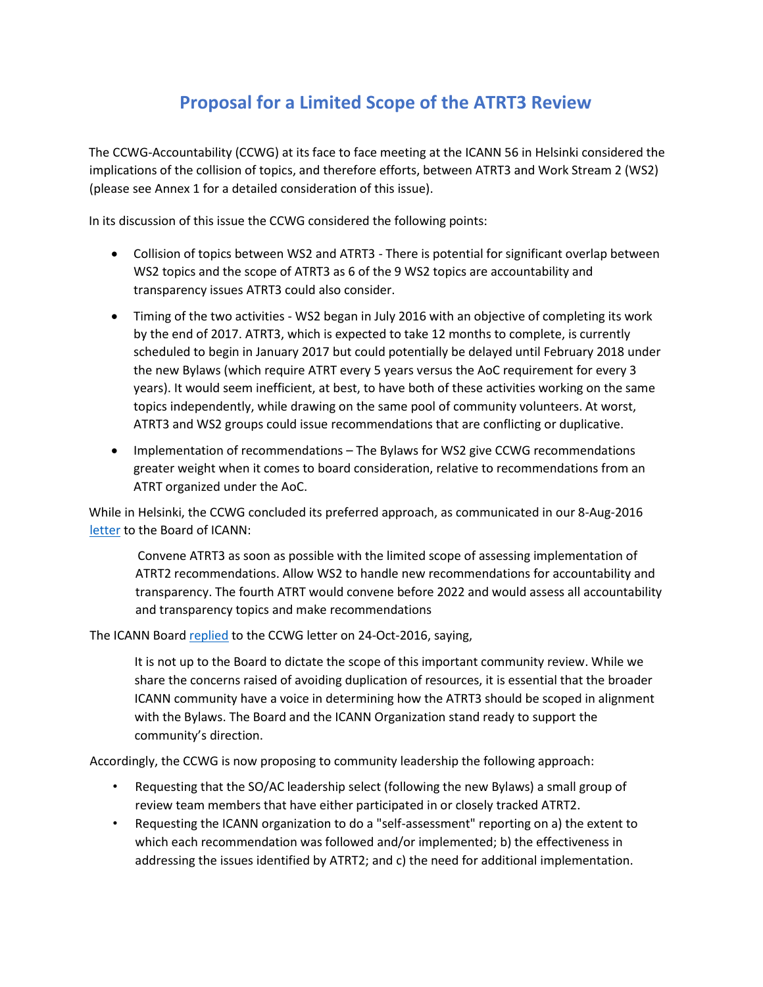# **Proposal for a Limited Scope of the ATRT3 Review**

The CCWG-Accountability (CCWG) at its face to face meeting at the ICANN 56 in Helsinki considered the implications of the collision of topics, and therefore efforts, between ATRT3 and Work Stream 2 (WS2) (please see Annex 1 for a detailed consideration of this issue).

In its discussion of this issue the CCWG considered the following points:

- Collision of topics between WS2 and ATRT3 There is potential for significant overlap between WS2 topics and the scope of ATRT3 as 6 of the 9 WS2 topics are accountability and transparency issues ATRT3 could also consider.
- Timing of the two activities WS2 began in July 2016 with an objective of completing its work by the end of 2017. ATRT3, which is expected to take 12 months to complete, is currently scheduled to begin in January 2017 but could potentially be delayed until February 2018 under the new Bylaws (which require ATRT every 5 years versus the AoC requirement for every 3 years). It would seem inefficient, at best, to have both of these activities working on the same topics independently, while drawing on the same pool of community volunteers. At worst, ATRT3 and WS2 groups could issue recommendations that are conflicting or duplicative.
- Implementation of recommendations The Bylaws for WS2 give CCWG recommendations greater weight when it comes to board consideration, relative to recommendations from an ATRT organized under the AoC.

While in Helsinki, the CCWG concluded its preferred approach, as communicated in our 8-Aug-2016 [letter](https://www.icann.org/en/system/files/correspondence/sanchez-et-al-to-icann-board-08aug16-en.pdf) to the Board of ICANN:

Convene ATRT3 as soon as possible with the limited scope of assessing implementation of ATRT2 recommendations. Allow WS2 to handle new recommendations for accountability and transparency. The fourth ATRT would convene before 2022 and would assess all accountability and transparency topics and make recommendations

The ICANN Board [replied](https://www.icann.org/en/system/files/correspondence/crocker-to-sanchez-et-al-24oct16-en.pdf) to the CCWG letter on 24-Oct-2016, saying,

It is not up to the Board to dictate the scope of this important community review. While we share the concerns raised of avoiding duplication of resources, it is essential that the broader ICANN community have a voice in determining how the ATRT3 should be scoped in alignment with the Bylaws. The Board and the ICANN Organization stand ready to support the community's direction.

Accordingly, the CCWG is now proposing to community leadership the following approach:

- Requesting that the SO/AC leadership select (following the new Bylaws) a small group of review team members that have either participated in or closely tracked ATRT2.
- Requesting the ICANN organization to do a "self-assessment" reporting on a) the extent to which each recommendation was followed and/or implemented; b) the effectiveness in addressing the issues identified by ATRT2; and c) the need for additional implementation.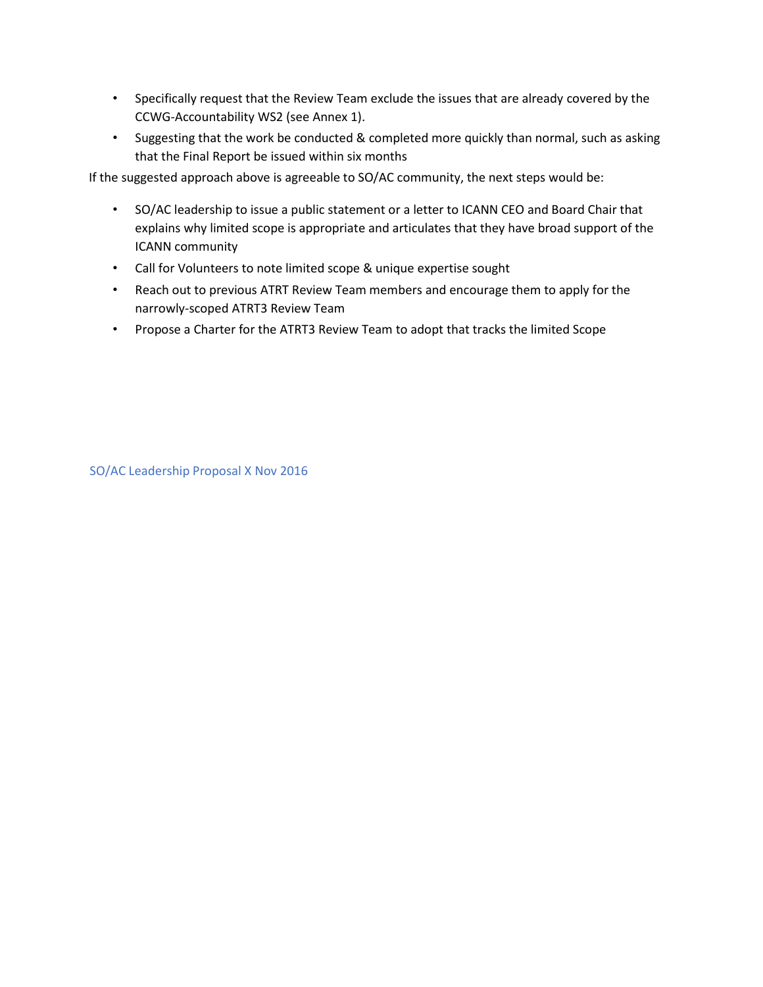- Specifically request that the Review Team exclude the issues that are already covered by the CCWG-Accountability WS2 (see Annex 1).
- Suggesting that the work be conducted & completed more quickly than normal, such as asking that the Final Report be issued within six months

If the suggested approach above is agreeable to SO/AC community, the next steps would be:

- SO/AC leadership to issue a public statement or a letter to ICANN CEO and Board Chair that explains why limited scope is appropriate and articulates that they have broad support of the ICANN community
- Call for Volunteers to note limited scope & unique expertise sought
- Reach out to previous ATRT Review Team members and encourage them to apply for the narrowly-scoped ATRT3 Review Team
- Propose a Charter for the ATRT3 Review Team to adopt that tracks the limited Scope

SO/AC Leadership Proposal X Nov 2016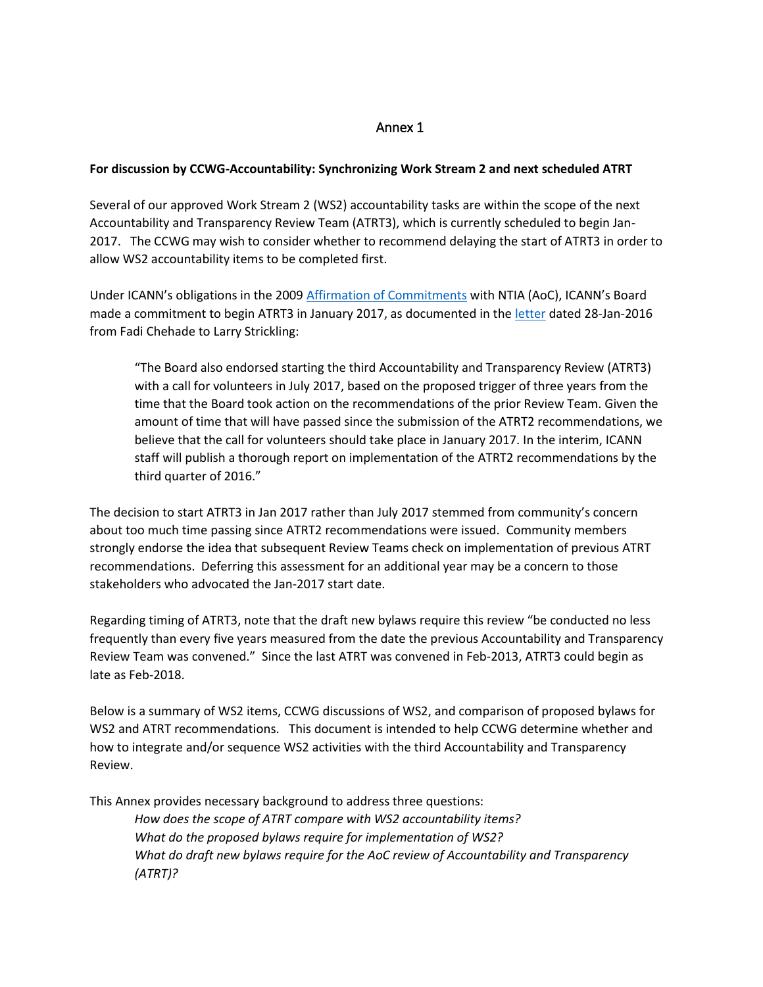# Annex 1

## **For discussion by CCWG-Accountability: Synchronizing Work Stream 2 and next scheduled ATRT**

Several of our approved Work Stream 2 (WS2) accountability tasks are within the scope of the next Accountability and Transparency Review Team (ATRT3), which is currently scheduled to begin Jan-2017. The CCWG may wish to consider whether to recommend delaying the start of ATRT3 in order to allow WS2 accountability items to be completed first.

Under ICANN's obligations in the 2009 [Affirmation of Commitments](https://www.icann.org/resources/pages/affirmation-of-commitments-2009-09-30-en) with NTIA (AoC), ICANN's Board made a commitment to begin ATRT3 in January 2017, as documented in the [letter](https://www.icann.org/en/system/files/correspondence/chehade-to-strickling-28jan16-en.pdf) dated 28-Jan-2016 from Fadi Chehade to Larry Strickling:

"The Board also endorsed starting the third Accountability and Transparency Review (ATRT3) with a call for volunteers in July 2017, based on the proposed trigger of three years from the time that the Board took action on the recommendations of the prior Review Team. Given the amount of time that will have passed since the submission of the ATRT2 recommendations, we believe that the call for volunteers should take place in January 2017. In the interim, ICANN staff will publish a thorough report on implementation of the ATRT2 recommendations by the third quarter of 2016."

The decision to start ATRT3 in Jan 2017 rather than July 2017 stemmed from community's concern about too much time passing since ATRT2 recommendations were issued. Community members strongly endorse the idea that subsequent Review Teams check on implementation of previous ATRT recommendations. Deferring this assessment for an additional year may be a concern to those stakeholders who advocated the Jan-2017 start date.

Regarding timing of ATRT3, note that the draft new bylaws require this review "be conducted no less frequently than every five years measured from the date the previous Accountability and Transparency Review Team was convened." Since the last ATRT was convened in Feb-2013, ATRT3 could begin as late as Feb-2018.

Below is a summary of WS2 items, CCWG discussions of WS2, and comparison of proposed bylaws for WS2 and ATRT recommendations. This document is intended to help CCWG determine whether and how to integrate and/or sequence WS2 activities with the third Accountability and Transparency Review.

This Annex provides necessary background to address three questions:

*How does the scope of ATRT compare with WS2 accountability items? What do the proposed bylaws require for implementation of WS2? What do draft new bylaws require for the AoC review of Accountability and Transparency (ATRT)?*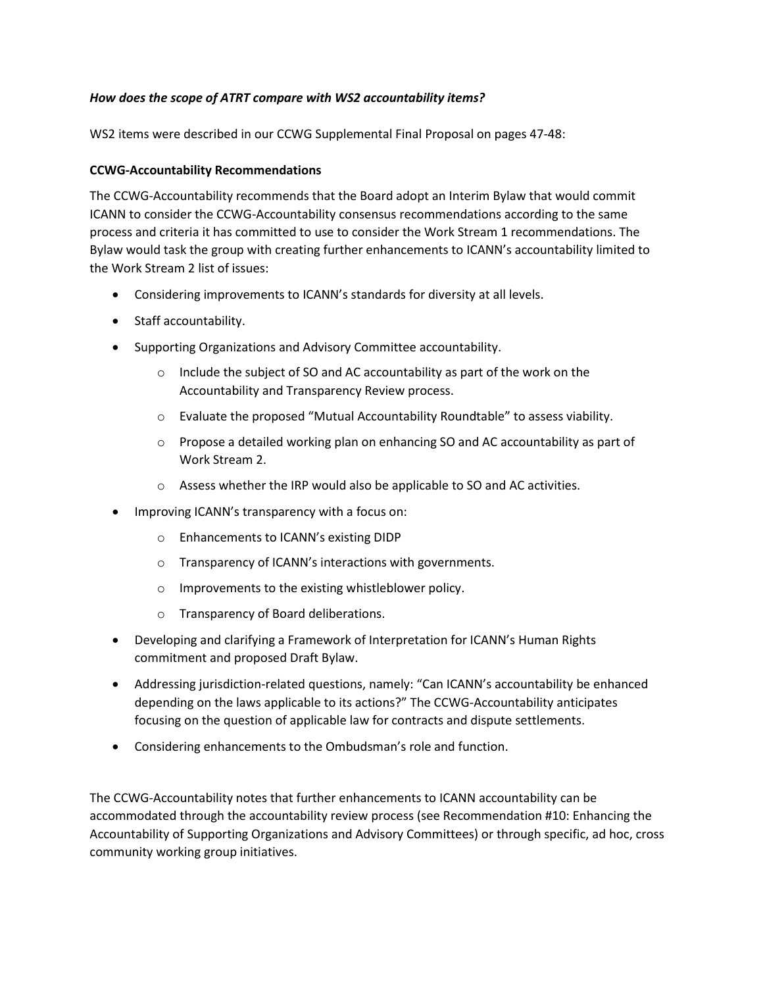## *How does the scope of ATRT compare with WS2 accountability items?*

WS2 items were described in our CCWG Supplemental Final Proposal on pages 47-48:

#### **CCWG-Accountability Recommendations**

The CCWG-Accountability recommends that the Board adopt an Interim Bylaw that would commit ICANN to consider the CCWG-Accountability consensus recommendations according to the same process and criteria it has committed to use to consider the Work Stream 1 recommendations. The Bylaw would task the group with creating further enhancements to ICANN's accountability limited to the Work Stream 2 list of issues:

- Considering improvements to ICANN's standards for diversity at all levels.
- Staff accountability.
- Supporting Organizations and Advisory Committee accountability.
	- $\circ$  Include the subject of SO and AC accountability as part of the work on the Accountability and Transparency Review process.
	- $\circ$  Evaluate the proposed "Mutual Accountability Roundtable" to assess viability.
	- $\circ$  Propose a detailed working plan on enhancing SO and AC accountability as part of Work Stream 2.
	- o Assess whether the IRP would also be applicable to SO and AC activities.
- Improving ICANN's transparency with a focus on:
	- o Enhancements to ICANN's existing DIDP
	- o Transparency of ICANN's interactions with governments.
	- o Improvements to the existing whistleblower policy.
	- o Transparency of Board deliberations.
- Developing and clarifying a Framework of Interpretation for ICANN's Human Rights commitment and proposed Draft Bylaw.
- Addressing jurisdiction-related questions, namely: "Can ICANN's accountability be enhanced depending on the laws applicable to its actions?" The CCWG-Accountability anticipates focusing on the question of applicable law for contracts and dispute settlements.
- Considering enhancements to the Ombudsman's role and function.

The CCWG-Accountability notes that further enhancements to ICANN accountability can be accommodated through the accountability review process (see Recommendation #10: Enhancing the Accountability of Supporting Organizations and Advisory Committees) or through specific, ad hoc, cross community working group initiatives.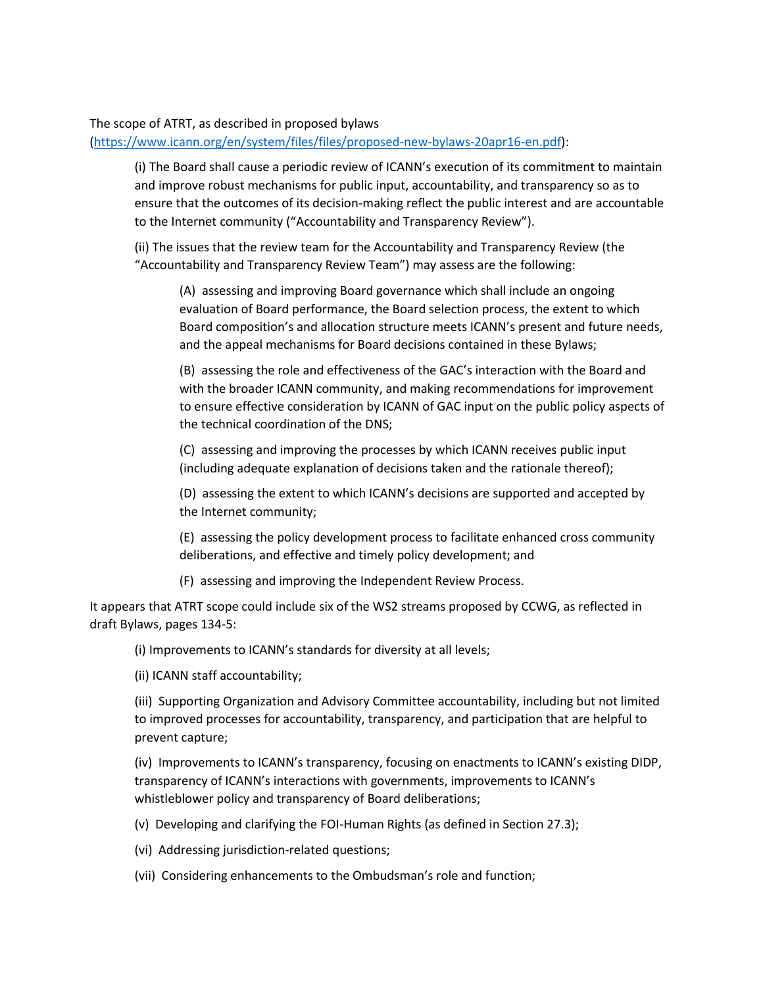#### The scope of ATRT, as described in proposed bylaws

[\(https://www.icann.org/en/system/files/files/proposed-new-bylaws-20apr16-en.pdf\)](https://www.icann.org/en/system/files/files/proposed-new-bylaws-20apr16-en.pdf):

(i) The Board shall cause a periodic review of ICANN's execution of its commitment to maintain and improve robust mechanisms for public input, accountability, and transparency so as to ensure that the outcomes of its decision-making reflect the public interest and are accountable to the Internet community ("Accountability and Transparency Review").

(ii) The issues that the review team for the Accountability and Transparency Review (the "Accountability and Transparency Review Team") may assess are the following:

(A) assessing and improving Board governance which shall include an ongoing evaluation of Board performance, the Board selection process, the extent to which Board composition's and allocation structure meets ICANN's present and future needs, and the appeal mechanisms for Board decisions contained in these Bylaws;

(B) assessing the role and effectiveness of the GAC's interaction with the Board and with the broader ICANN community, and making recommendations for improvement to ensure effective consideration by ICANN of GAC input on the public policy aspects of the technical coordination of the DNS;

(C) assessing and improving the processes by which ICANN receives public input (including adequate explanation of decisions taken and the rationale thereof);

(D) assessing the extent to which ICANN's decisions are supported and accepted by the Internet community;

(E) assessing the policy development process to facilitate enhanced cross community deliberations, and effective and timely policy development; and

(F) assessing and improving the Independent Review Process.

It appears that ATRT scope could include six of the WS2 streams proposed by CCWG, as reflected in draft Bylaws, pages 134-5:

(i) Improvements to ICANN's standards for diversity at all levels;

(ii) ICANN staff accountability;

(iii) Supporting Organization and Advisory Committee accountability, including but not limited to improved processes for accountability, transparency, and participation that are helpful to prevent capture;

(iv) Improvements to ICANN's transparency, focusing on enactments to ICANN's existing DIDP, transparency of ICANN's interactions with governments, improvements to ICANN's whistleblower policy and transparency of Board deliberations;

(v) Developing and clarifying the FOI-Human Rights (as defined in Section 27.3);

(vi) Addressing jurisdiction-related questions;

(vii) Considering enhancements to the Ombudsman's role and function;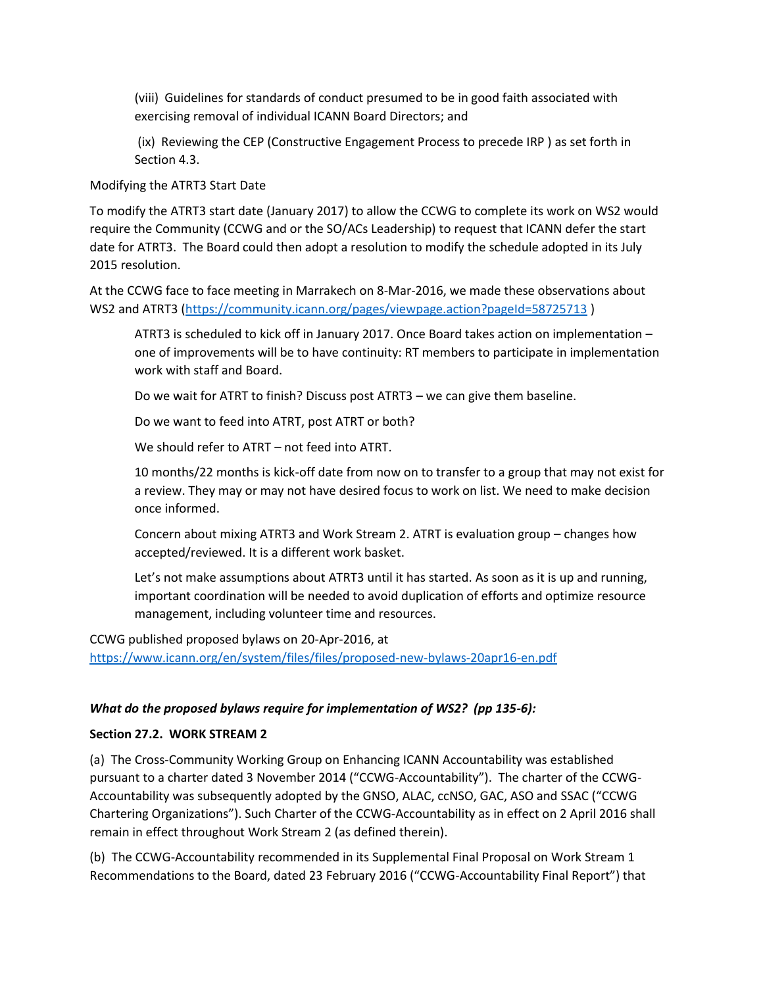(viii) Guidelines for standards of conduct presumed to be in good faith associated with exercising removal of individual ICANN Board Directors; and

(ix) Reviewing the CEP (Constructive Engagement Process to precede IRP ) as set forth in Section 4.3.

Modifying the ATRT3 Start Date

To modify the ATRT3 start date (January 2017) to allow the CCWG to complete its work on WS2 would require the Community (CCWG and or the SO/ACs Leadership) to request that ICANN defer the start date for ATRT3. The Board could then adopt a resolution to modify the schedule adopted in its July 2015 resolution.

At the CCWG face to face meeting in Marrakech on 8-Mar-2016, we made these observations about WS2 and ATRT3 [\(https://community.icann.org/pages/viewpage.action?pageId=58725713](https://community.icann.org/pages/viewpage.action?pageId=58725713))

ATRT3 is scheduled to kick off in January 2017. Once Board takes action on implementation – one of improvements will be to have continuity: RT members to participate in implementation work with staff and Board.

Do we wait for ATRT to finish? Discuss post ATRT3 – we can give them baseline.

Do we want to feed into ATRT, post ATRT or both?

We should refer to ATRT – not feed into ATRT.

10 months/22 months is kick-off date from now on to transfer to a group that may not exist for a review. They may or may not have desired focus to work on list. We need to make decision once informed.

Concern about mixing ATRT3 and Work Stream 2. ATRT is evaluation group – changes how accepted/reviewed. It is a different work basket.

Let's not make assumptions about ATRT3 until it has started. As soon as it is up and running, important coordination will be needed to avoid duplication of efforts and optimize resource management, including volunteer time and resources.

CCWG published proposed bylaws on 20-Apr-2016, at <https://www.icann.org/en/system/files/files/proposed-new-bylaws-20apr16-en.pdf>

#### *What do the proposed bylaws require for implementation of WS2? (pp 135-6):*

#### **Section 27.2. WORK STREAM 2**

(a) The Cross-Community Working Group on Enhancing ICANN Accountability was established pursuant to a charter dated 3 November 2014 ("CCWG-Accountability"). The charter of the CCWG-Accountability was subsequently adopted by the GNSO, ALAC, ccNSO, GAC, ASO and SSAC ("CCWG Chartering Organizations"). Such Charter of the CCWG-Accountability as in effect on 2 April 2016 shall remain in effect throughout Work Stream 2 (as defined therein).

(b) The CCWG-Accountability recommended in its Supplemental Final Proposal on Work Stream 1 Recommendations to the Board, dated 23 February 2016 ("CCWG-Accountability Final Report") that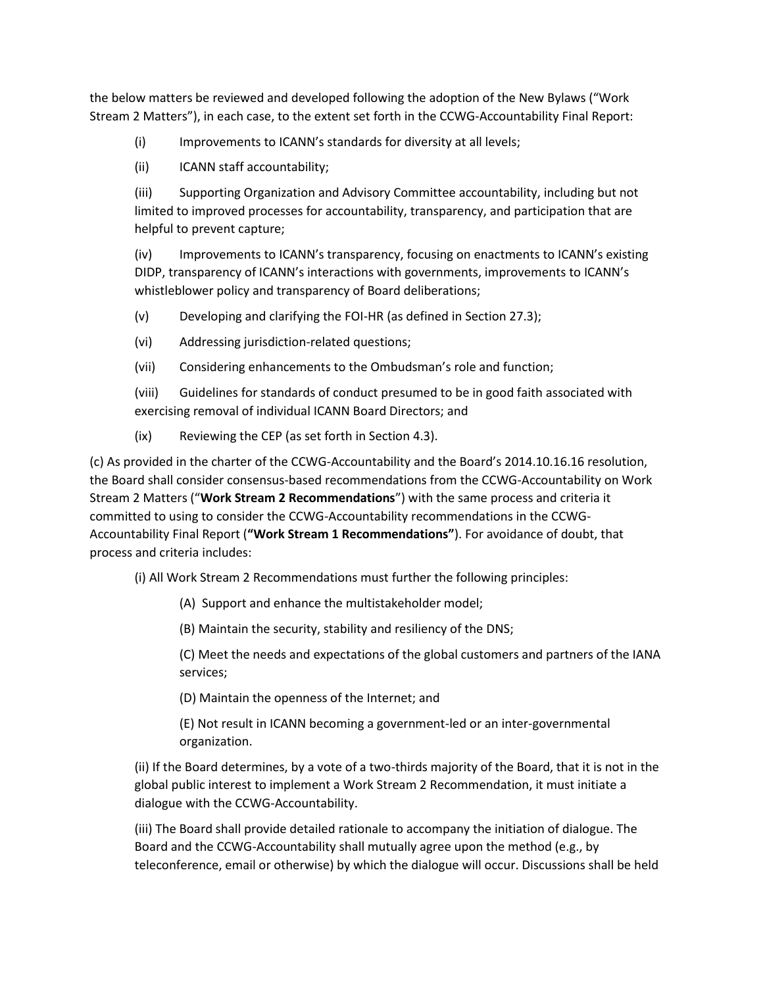the below matters be reviewed and developed following the adoption of the New Bylaws ("Work Stream 2 Matters"), in each case, to the extent set forth in the CCWG-Accountability Final Report:

(i) Improvements to ICANN's standards for diversity at all levels;

(ii) ICANN staff accountability;

(iii) Supporting Organization and Advisory Committee accountability, including but not limited to improved processes for accountability, transparency, and participation that are helpful to prevent capture;

(iv) Improvements to ICANN's transparency, focusing on enactments to ICANN's existing DIDP, transparency of ICANN's interactions with governments, improvements to ICANN's whistleblower policy and transparency of Board deliberations;

(v) Developing and clarifying the FOI-HR (as defined in Section 27.3);

(vi) Addressing jurisdiction-related questions;

(vii) Considering enhancements to the Ombudsman's role and function;

(viii) Guidelines for standards of conduct presumed to be in good faith associated with exercising removal of individual ICANN Board Directors; and

(ix) Reviewing the CEP (as set forth in Section 4.3).

(c) As provided in the charter of the CCWG-Accountability and the Board's 2014.10.16.16 resolution, the Board shall consider consensus-based recommendations from the CCWG-Accountability on Work Stream 2 Matters ("**Work Stream 2 Recommendations**") with the same process and criteria it committed to using to consider the CCWG-Accountability recommendations in the CCWG-Accountability Final Report (**"Work Stream 1 Recommendations"**). For avoidance of doubt, that process and criteria includes:

(i) All Work Stream 2 Recommendations must further the following principles:

(A) Support and enhance the multistakeholder model;

(B) Maintain the security, stability and resiliency of the DNS;

(C) Meet the needs and expectations of the global customers and partners of the IANA services;

(D) Maintain the openness of the Internet; and

(E) Not result in ICANN becoming a government-led or an inter-governmental organization.

(ii) If the Board determines, by a vote of a two-thirds majority of the Board, that it is not in the global public interest to implement a Work Stream 2 Recommendation, it must initiate a dialogue with the CCWG-Accountability.

(iii) The Board shall provide detailed rationale to accompany the initiation of dialogue. The Board and the CCWG-Accountability shall mutually agree upon the method (e.g., by teleconference, email or otherwise) by which the dialogue will occur. Discussions shall be held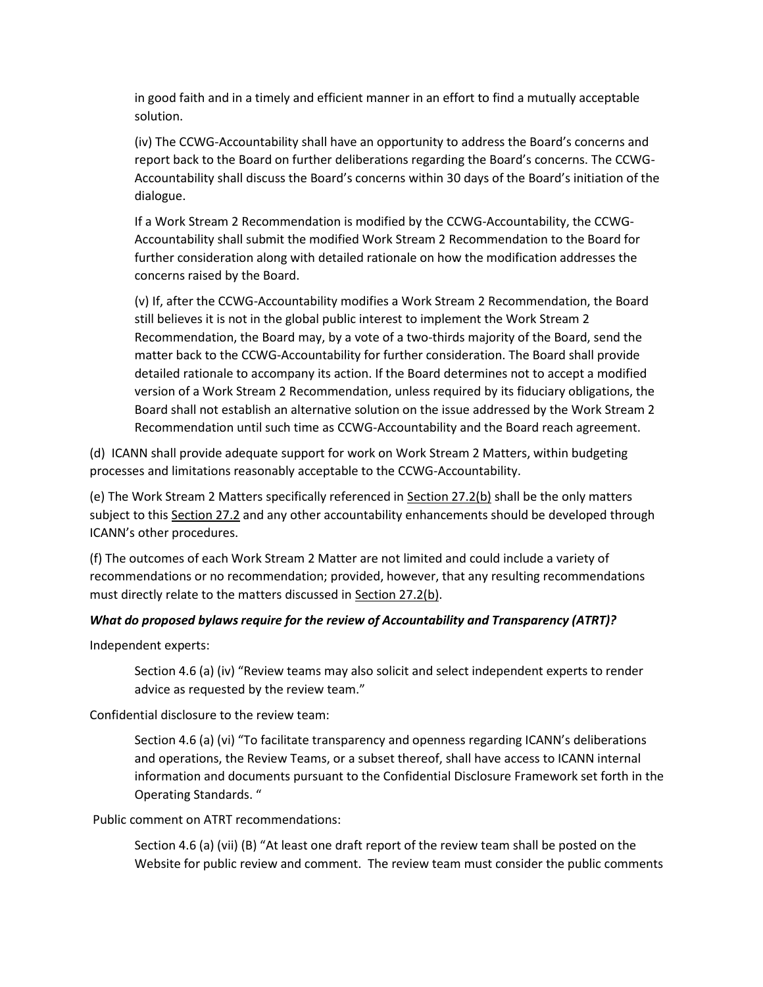in good faith and in a timely and efficient manner in an effort to find a mutually acceptable solution.

(iv) The CCWG-Accountability shall have an opportunity to address the Board's concerns and report back to the Board on further deliberations regarding the Board's concerns. The CCWG-Accountability shall discuss the Board's concerns within 30 days of the Board's initiation of the dialogue.

If a Work Stream 2 Recommendation is modified by the CCWG-Accountability, the CCWG-Accountability shall submit the modified Work Stream 2 Recommendation to the Board for further consideration along with detailed rationale on how the modification addresses the concerns raised by the Board.

(v) If, after the CCWG-Accountability modifies a Work Stream 2 Recommendation, the Board still believes it is not in the global public interest to implement the Work Stream 2 Recommendation, the Board may, by a vote of a two-thirds majority of the Board, send the matter back to the CCWG-Accountability for further consideration. The Board shall provide detailed rationale to accompany its action. If the Board determines not to accept a modified version of a Work Stream 2 Recommendation, unless required by its fiduciary obligations, the Board shall not establish an alternative solution on the issue addressed by the Work Stream 2 Recommendation until such time as CCWG-Accountability and the Board reach agreement.

(d) ICANN shall provide adequate support for work on Work Stream 2 Matters, within budgeting processes and limitations reasonably acceptable to the CCWG-Accountability.

(e) The Work Stream 2 Matters specifically referenced in Section 27.2(b) shall be the only matters subject to this Section 27.2 and any other accountability enhancements should be developed through ICANN's other procedures.

(f) The outcomes of each Work Stream 2 Matter are not limited and could include a variety of recommendations or no recommendation; provided, however, that any resulting recommendations must directly relate to the matters discussed in Section 27.2(b).

## *What do proposed bylaws require for the review of Accountability and Transparency (ATRT)?*

Independent experts:

Section 4.6 (a) (iv) "Review teams may also solicit and select independent experts to render advice as requested by the review team."

Confidential disclosure to the review team:

Section 4.6 (a) (vi) "To facilitate transparency and openness regarding ICANN's deliberations and operations, the Review Teams, or a subset thereof, shall have access to ICANN internal information and documents pursuant to the Confidential Disclosure Framework set forth in the Operating Standards. "

Public comment on ATRT recommendations:

Section 4.6 (a) (vii) (B) "At least one draft report of the review team shall be posted on the Website for public review and comment. The review team must consider the public comments